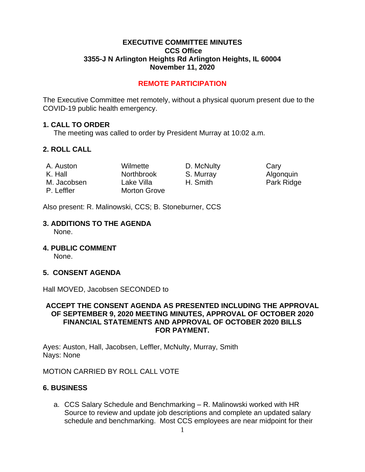#### **EXECUTIVE COMMITTEE MINUTES CCS Office 3355-J N Arlington Heights Rd Arlington Heights, IL 60004 November 11, 2020**

## **REMOTE PARTICIPATION**

The Executive Committee met remotely, without a physical quorum present due to the COVID-19 public health emergency.

#### **1. CALL TO ORDER**

The meeting was called to order by President Murray at 10:02 a.m.

## **2. ROLL CALL**

| A. Auston   | Wilmette            | D. McNulty | Cary |
|-------------|---------------------|------------|------|
| K. Hall     | <b>Northbrook</b>   | S. Murray  | Algo |
| M. Jacobsen | Lake Villa          | H. Smith   | Park |
| P. Leffler  | <b>Morton Grove</b> |            |      |

Algonquin Park Ridge

Also present: R. Malinowski, CCS; B. Stoneburner, CCS

# **3. ADDITIONS TO THE AGENDA**

None.

**4. PUBLIC COMMENT** 

None.

## **5. CONSENT AGENDA**

Hall MOVED, Jacobsen SECONDED to

#### **ACCEPT THE CONSENT AGENDA AS PRESENTED INCLUDING THE APPROVAL OF SEPTEMBER 9, 2020 MEETING MINUTES, APPROVAL OF OCTOBER 2020 FINANCIAL STATEMENTS AND APPROVAL OF OCTOBER 2020 BILLS FOR PAYMENT.**

Ayes: Auston, Hall, Jacobsen, Leffler, McNulty, Murray, Smith Nays: None

MOTION CARRIED BY ROLL CALL VOTE

## **6. BUSINESS**

a. CCS Salary Schedule and Benchmarking – R. Malinowski worked with HR Source to review and update job descriptions and complete an updated salary schedule and benchmarking. Most CCS employees are near midpoint for their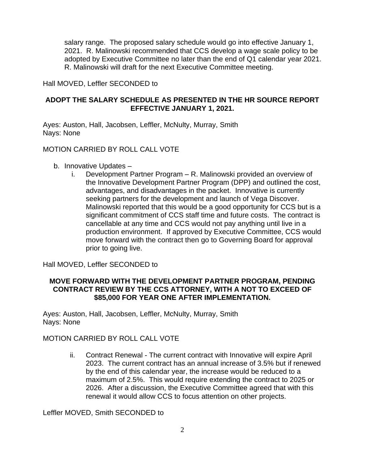salary range. The proposed salary schedule would go into effective January 1, 2021. R. Malinowski recommended that CCS develop a wage scale policy to be adopted by Executive Committee no later than the end of Q1 calendar year 2021. R. Malinowski will draft for the next Executive Committee meeting.

Hall MOVED, Leffler SECONDED to

## **ADOPT THE SALARY SCHEDULE AS PRESENTED IN THE HR SOURCE REPORT EFFECTIVE JANUARY 1, 2021.**

Ayes: Auston, Hall, Jacobsen, Leffler, McNulty, Murray, Smith Nays: None

#### MOTION CARRIED BY ROLL CALL VOTE

- b. Innovative Updates
	- i. Development Partner Program R. Malinowski provided an overview of the Innovative Development Partner Program (DPP) and outlined the cost, advantages, and disadvantages in the packet. Innovative is currently seeking partners for the development and launch of Vega Discover. Malinowski reported that this would be a good opportunity for CCS but is a significant commitment of CCS staff time and future costs. The contract is cancellable at any time and CCS would not pay anything until live in a production environment. If approved by Executive Committee, CCS would move forward with the contract then go to Governing Board for approval prior to going live.

## Hall MOVED, Leffler SECONDED to

## **MOVE FORWARD WITH THE DEVELOPMENT PARTNER PROGRAM, PENDING CONTRACT REVIEW BY THE CCS ATTORNEY, WITH A NOT TO EXCEED OF \$85,000 FOR YEAR ONE AFTER IMPLEMENTATION.**

Ayes: Auston, Hall, Jacobsen, Leffler, McNulty, Murray, Smith Nays: None

#### MOTION CARRIED BY ROLL CALL VOTE

ii. Contract Renewal - The current contract with Innovative will expire April 2023. The current contract has an annual increase of 3.5% but if renewed by the end of this calendar year, the increase would be reduced to a maximum of 2.5%. This would require extending the contract to 2025 or 2026. After a discussion, the Executive Committee agreed that with this renewal it would allow CCS to focus attention on other projects.

Leffler MOVED, Smith SECONDED to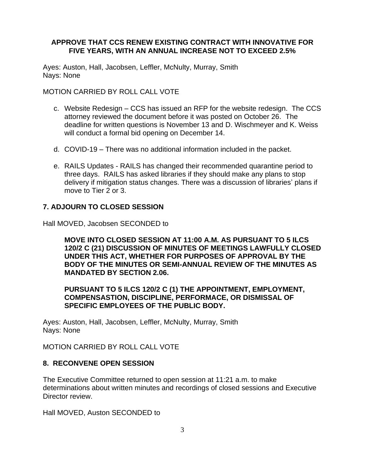## **APPROVE THAT CCS RENEW EXISTING CONTRACT WITH INNOVATIVE FOR FIVE YEARS, WITH AN ANNUAL INCREASE NOT TO EXCEED 2.5%**

Ayes: Auston, Hall, Jacobsen, Leffler, McNulty, Murray, Smith Nays: None

MOTION CARRIED BY ROLL CALL VOTE

- c. Website Redesign CCS has issued an RFP for the website redesign. The CCS attorney reviewed the document before it was posted on October 26. The deadline for written questions is November 13 and D. Wischmeyer and K. Weiss will conduct a formal bid opening on December 14.
- d. COVID-19 There was no additional information included in the packet.
- e. RAILS Updates RAILS has changed their recommended quarantine period to three days. RAILS has asked libraries if they should make any plans to stop delivery if mitigation status changes. There was a discussion of libraries' plans if move to Tier 2 or 3.

## **7. ADJOURN TO CLOSED SESSION**

Hall MOVED, Jacobsen SECONDED to

**MOVE INTO CLOSED SESSION AT 11:00 A.M. AS PURSUANT TO 5 ILCS 120/2 C (21) DISCUSSION OF MINUTES OF MEETINGS LAWFULLY CLOSED UNDER THIS ACT, WHETHER FOR PURPOSES OF APPROVAL BY THE BODY OF THE MINUTES OR SEMI-ANNUAL REVIEW OF THE MINUTES AS MANDATED BY SECTION 2.06.** 

**PURSUANT TO 5 ILCS 120/2 C (1) THE APPOINTMENT, EMPLOYMENT, COMPENSASTION, DISCIPLINE, PERFORMACE, OR DISMISSAL OF SPECIFIC EMPLOYEES OF THE PUBLIC BODY.**

Ayes: Auston, Hall, Jacobsen, Leffler, McNulty, Murray, Smith Nays: None

MOTION CARRIED BY ROLL CALL VOTE

## **8. RECONVENE OPEN SESSION**

The Executive Committee returned to open session at 11:21 a.m. to make determinations about written minutes and recordings of closed sessions and Executive Director review.

Hall MOVED, Auston SECONDED to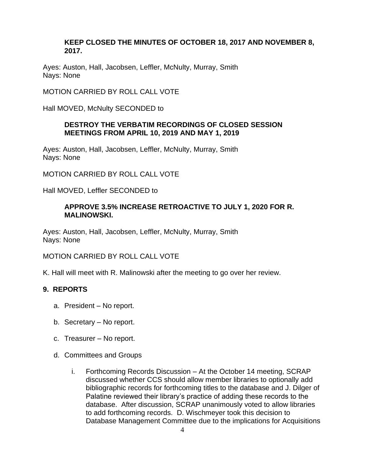#### **KEEP CLOSED THE MINUTES OF OCTOBER 18, 2017 AND NOVEMBER 8, 2017.**

Ayes: Auston, Hall, Jacobsen, Leffler, McNulty, Murray, Smith Nays: None

MOTION CARRIED BY ROLL CALL VOTE

Hall MOVED, McNulty SECONDED to

## **DESTROY THE VERBATIM RECORDINGS OF CLOSED SESSION MEETINGS FROM APRIL 10, 2019 AND MAY 1, 2019**

Ayes: Auston, Hall, Jacobsen, Leffler, McNulty, Murray, Smith Nays: None

MOTION CARRIED BY ROLL CALL VOTE

Hall MOVED, Leffler SECONDED to

#### **APPROVE 3.5% INCREASE RETROACTIVE TO JULY 1, 2020 FOR R. MALINOWSKI.**

Ayes: Auston, Hall, Jacobsen, Leffler, McNulty, Murray, Smith Nays: None

MOTION CARRIED BY ROLL CALL VOTE

K. Hall will meet with R. Malinowski after the meeting to go over her review.

## **9. REPORTS**

- a. President No report.
- b. Secretary No report.
- c. Treasurer No report.
- d. Committees and Groups
	- i. Forthcoming Records Discussion At the October 14 meeting, SCRAP discussed whether CCS should allow member libraries to optionally add bibliographic records for forthcoming titles to the database and J. Dilger of Palatine reviewed their library's practice of adding these records to the database. After discussion, SCRAP unanimously voted to allow libraries to add forthcoming records. D. Wischmeyer took this decision to Database Management Committee due to the implications for Acquisitions